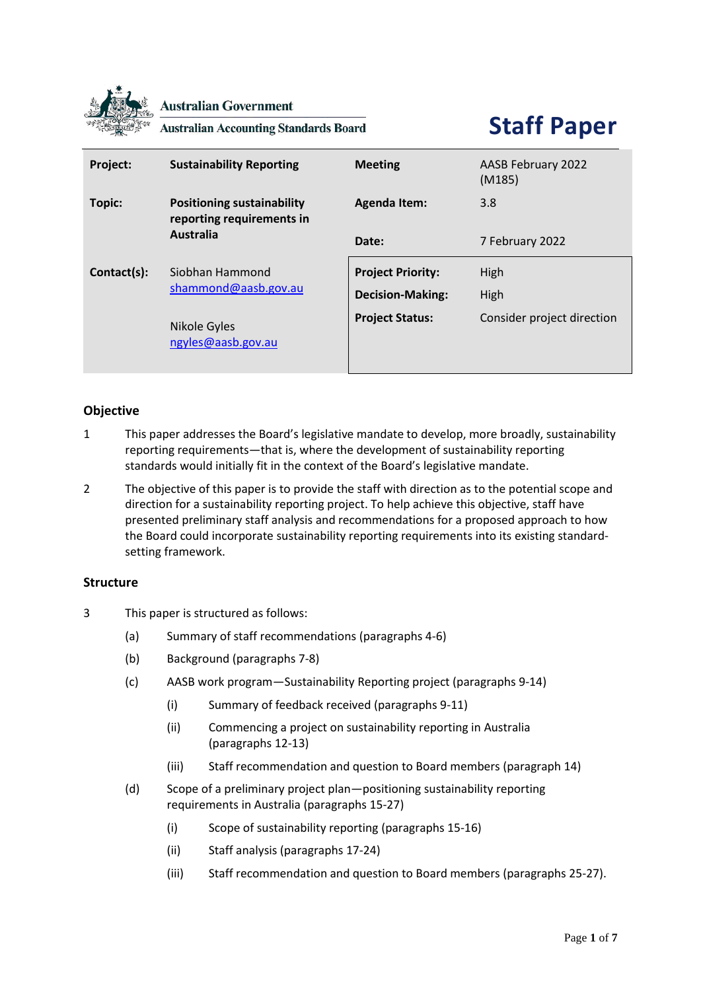

**Australian Government** 

**Australian Accounting Standards Board** 

# **Staff Paper**

| Project:    | <b>Sustainability Reporting</b>                                                    | <b>Meeting</b>           | AASB February 2022<br>(M185) |
|-------------|------------------------------------------------------------------------------------|--------------------------|------------------------------|
| Topic:      | <b>Positioning sustainability</b><br>reporting requirements in<br><b>Australia</b> | <b>Agenda Item:</b>      | 3.8                          |
|             |                                                                                    | Date:                    | 7 February 2022              |
| Contact(s): | Siobhan Hammond<br>shammond@aasb.gov.au                                            | <b>Project Priority:</b> | High                         |
|             |                                                                                    | <b>Decision-Making:</b>  | High                         |
|             | Nikole Gyles<br>ngyles@aasb.gov.au                                                 | <b>Project Status:</b>   | Consider project direction   |

# **Objective**

- 1 This paper addresses the Board's legislative mandate to develop, more broadly, sustainability reporting requirements—that is, where the development of sustainability reporting standards would initially fit in the context of the Board's legislative mandate.
- 2 The objective of this paper is to provide the staff with direction as to the potential scope and direction for a sustainability reporting project. To help achieve this objective, staff have presented preliminary staff analysis and recommendations for a proposed approach to how the Board could incorporate sustainability reporting requirements into its existing standardsetting framework.

## **Structure**

- 3 This paper is structured as follows:
	- (a) Summary of staff recommendations (paragraphs 4-6)
	- (b) Background (paragraphs 7-8)
	- (c) AASB work program—Sustainability Reporting project (paragraphs 9-14)
		- (i) Summary of feedback received (paragraphs 9-11)
		- (ii) Commencing a project on sustainability reporting in Australia (paragraphs 12-13)
		- (iii) Staff recommendation and question to Board members (paragraph 14)
	- (d) Scope of a preliminary project plan—positioning sustainability reporting requirements in Australia (paragraphs 15-27)
		- (i) Scope of sustainability reporting (paragraphs 15-16)
		- (ii) Staff analysis (paragraphs 17-24)
		- (iii) Staff recommendation and question to Board members (paragraphs 25-27).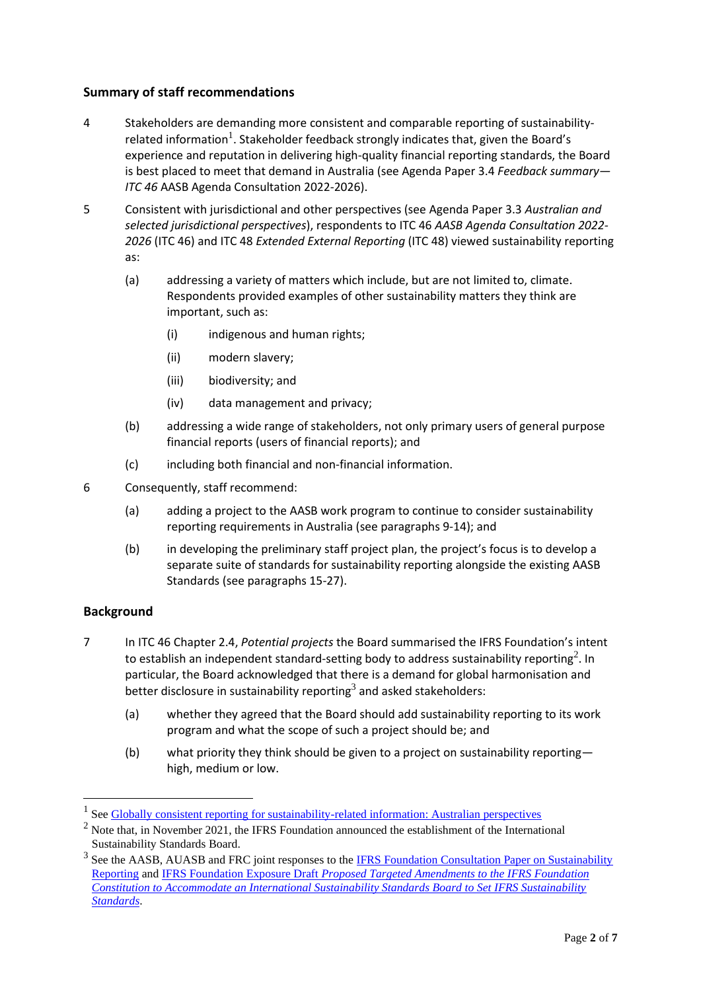## **Summary of staff recommendations**

- 4 Stakeholders are demanding more consistent and comparable reporting of sustainabilityrelated information<sup>1</sup>. Stakeholder feedback strongly indicates that, given the Board's experience and reputation in delivering high-quality financial reporting standards, the Board is best placed to meet that demand in Australia (see Agenda Paper 3.4 *Feedback summary— ITC 46* AASB Agenda Consultation 2022-2026).
- 5 Consistent with jurisdictional and other perspectives (see Agenda Paper 3.3 *Australian and selected jurisdictional perspectives*), respondents to ITC 46 *AASB Agenda Consultation 2022- 2026* (ITC 46) and ITC 48 *Extended External Reporting* (ITC 48) viewed sustainability reporting as:
	- (a) addressing a variety of matters which include, but are not limited to, climate. Respondents provided examples of other sustainability matters they think are important, such as:
		- (i) indigenous and human rights;
		- (ii) modern slavery;
		- (iii) biodiversity; and
		- (iv) data management and privacy;
	- (b) addressing a wide range of stakeholders, not only primary users of general purpose financial reports (users of financial reports); and
	- (c) including both financial and non-financial information.
- 6 Consequently, staff recommend:
	- (a) adding a project to the AASB work program to continue to consider sustainability reporting requirements in Australia (see paragraphs 9-14); and
	- (b) in developing the preliminary staff project plan, the project's focus is to develop a separate suite of standards for sustainability reporting alongside the existing AASB Standards (see paragraphs 15-27).

# **Background**

- 7 In ITC 46 Chapter 2.4, *Potential projects* the Board summarised the IFRS Foundation's intent to establish an independent standard-setting body to address sustainability reporting<sup>2</sup>. In particular, the Board acknowledged that there is a demand for global harmonisation and better disclosure in sustainability reporting<sup>3</sup> and asked stakeholders:
	- (a) whether they agreed that the Board should add sustainability reporting to its work program and what the scope of such a project should be; and
	- (b) what priority they think should be given to a project on sustainability reporting high, medium or low.

<sup>&</sup>lt;sup>1</sup> See [Globally consistent reporting for sustainability-related information: Australian perspectives](https://www.aasb.gov.au/media/o1wfhori/aasb-auasb_sustainabilityreporting_12-21.pdf)

 $2$  Note that, in November 2021, the IFRS Foundation announced the establishment of the International Sustainability Standards Board.

<sup>&</sup>lt;sup>3</sup> See the AASB, AUASB and FRC joint responses to the **IFRS Foundation Consultation Paper on Sustainability** [Reporting](https://eifrs.ifrs.org/eifrs/comment_letters/570/570_27392_JAMESBARDENFinancialReportingCouncilFRCAustralianAccountingStandardsBoardAASBandAuditingandAssuranceStandardsBoardAUASB_0_JointLettertoIFRS_CP_SustainabilityReporting_20201222.pdf) and IFRS Foundation Exposure Draft *[Proposed Targeted Amendments to the IFRS Foundation](https://eifrs.ifrs.org/eifrs/comment_letters/590/590_28642_EvelynLingFinancialReportingCouncilAustralianAccountingStandardsBoardandtheAuditingandAssuranceStandardsBoard_0_JointLettertoIFRSTrustees_ED_SustainabilityReporting_20210729.pdf)  [Constitution to Accommodate an International Sustainability Standards Board to Set IFRS Sustainability](https://eifrs.ifrs.org/eifrs/comment_letters/590/590_28642_EvelynLingFinancialReportingCouncilAustralianAccountingStandardsBoardandtheAuditingandAssuranceStandardsBoard_0_JointLettertoIFRSTrustees_ED_SustainabilityReporting_20210729.pdf)  [Standards](https://eifrs.ifrs.org/eifrs/comment_letters/590/590_28642_EvelynLingFinancialReportingCouncilAustralianAccountingStandardsBoardandtheAuditingandAssuranceStandardsBoard_0_JointLettertoIFRSTrustees_ED_SustainabilityReporting_20210729.pdf)*.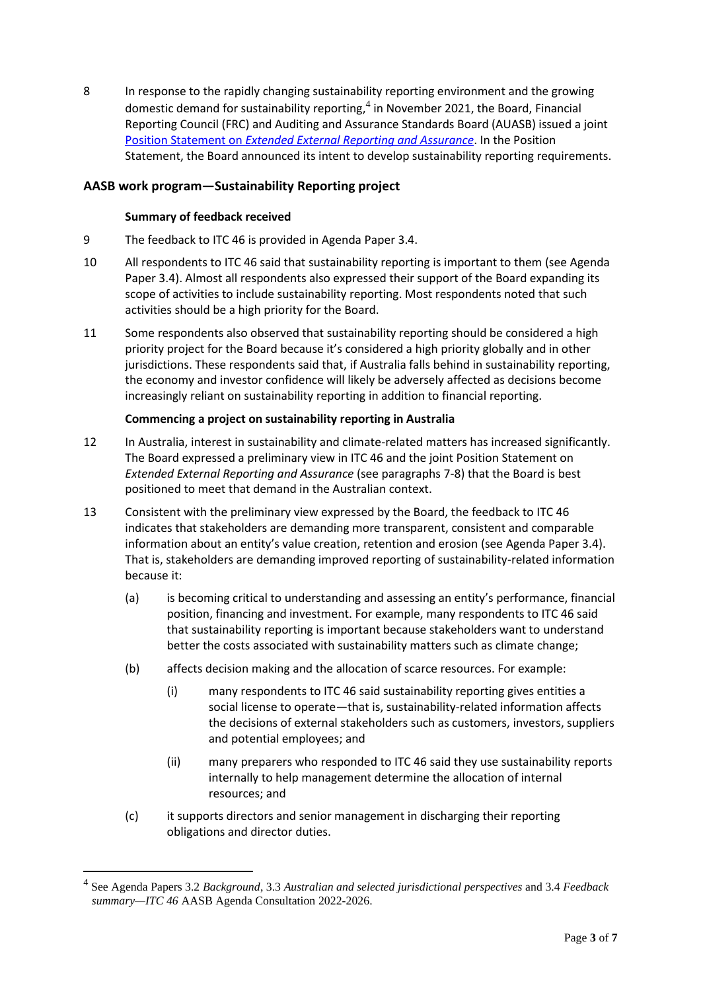8 In response to the rapidly changing sustainability reporting environment and the growing domestic demand for sustainability reporting,<sup>4</sup> in November 2021, the Board, Financial Reporting Council (FRC) and Auditing and Assurance Standards Board (AUASB) issued a joint Position Statement on *[Extended External Reporting and Assurance](https://www.aasb.gov.au/media/a3yn1thj/jointaasb_auasb_frc_policypositionstatement-11-21.pdf)*. In the Position Statement, the Board announced its intent to develop sustainability reporting requirements.

# **AASB work program—Sustainability Reporting project**

## **Summary of feedback received**

- 9 The feedback to ITC 46 is provided in Agenda Paper 3.4.
- 10 All respondents to ITC 46 said that sustainability reporting is important to them (see Agenda Paper 3.4). Almost all respondents also expressed their support of the Board expanding its scope of activities to include sustainability reporting. Most respondents noted that such activities should be a high priority for the Board.
- 11 Some respondents also observed that sustainability reporting should be considered a high priority project for the Board because it's considered a high priority globally and in other jurisdictions. These respondents said that, if Australia falls behind in sustainability reporting, the economy and investor confidence will likely be adversely affected as decisions become increasingly reliant on sustainability reporting in addition to financial reporting.

## **Commencing a project on sustainability reporting in Australia**

- 12 In Australia, interest in sustainability and climate-related matters has increased significantly. The Board expressed a preliminary view in ITC 46 and the joint Position Statement on *Extended External Reporting and Assurance* (see paragraphs 7-8) that the Board is best positioned to meet that demand in the Australian context.
- 13 Consistent with the preliminary view expressed by the Board, the feedback to ITC 46 indicates that stakeholders are demanding more transparent, consistent and comparable information about an entity's value creation, retention and erosion (see Agenda Paper 3.4). That is, stakeholders are demanding improved reporting of sustainability-related information because it:
	- (a) is becoming critical to understanding and assessing an entity's performance, financial position, financing and investment. For example, many respondents to ITC 46 said that sustainability reporting is important because stakeholders want to understand better the costs associated with sustainability matters such as climate change;
	- (b) affects decision making and the allocation of scarce resources. For example:
		- (i) many respondents to ITC 46 said sustainability reporting gives entities a social license to operate—that is, sustainability-related information affects the decisions of external stakeholders such as customers, investors, suppliers and potential employees; and
		- (ii) many preparers who responded to ITC 46 said they use sustainability reports internally to help management determine the allocation of internal resources; and
	- (c) it supports directors and senior management in discharging their reporting obligations and director duties.

<sup>4</sup> See Agenda Papers 3.2 *Background*, 3.3 *Australian and selected jurisdictional perspectives* and 3.4 *Feedback summary—ITC 46* AASB Agenda Consultation 2022-2026.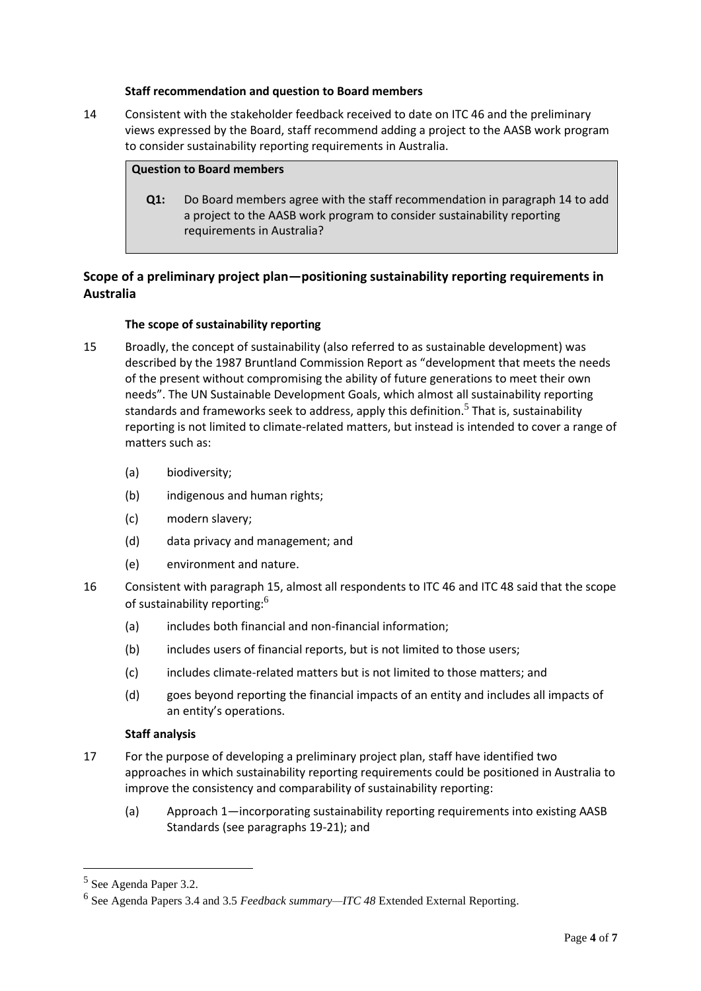#### **Staff recommendation and question to Board members**

14 Consistent with the stakeholder feedback received to date on ITC 46 and the preliminary views expressed by the Board, staff recommend adding a project to the AASB work program to consider sustainability reporting requirements in Australia.

#### **Question to Board members**

**Q1:** Do Board members agree with the staff recommendation in paragraph 14 to add a project to the AASB work program to consider sustainability reporting requirements in Australia?

# **Scope of a preliminary project plan—positioning sustainability reporting requirements in Australia**

## **The scope of sustainability reporting**

- 15 Broadly, the concept of sustainability (also referred to as sustainable development) was described by the 1987 Bruntland Commission Report as "development that meets the needs of the present without compromising the ability of future generations to meet their own needs". The UN Sustainable Development Goals, which almost all sustainability reporting standards and frameworks seek to address, apply this definition.<sup>5</sup> That is, sustainability reporting is not limited to climate-related matters, but instead is intended to cover a range of matters such as:
	- (a) biodiversity;
	- (b) indigenous and human rights;
	- (c) modern slavery;
	- (d) data privacy and management; and
	- (e) environment and nature.
- 16 Consistent with paragraph 15, almost all respondents to ITC 46 and ITC 48 said that the scope of sustainability reporting:<sup>6</sup>
	- (a) includes both financial and non-financial information;
	- (b) includes users of financial reports, but is not limited to those users;
	- (c) includes climate-related matters but is not limited to those matters; and
	- (d) goes beyond reporting the financial impacts of an entity and includes all impacts of an entity's operations.

## **Staff analysis**

- 17 For the purpose of developing a preliminary project plan, staff have identified two approaches in which sustainability reporting requirements could be positioned in Australia to improve the consistency and comparability of sustainability reporting:
	- (a) Approach 1—incorporating sustainability reporting requirements into existing AASB Standards (see paragraphs 19-21); and

<sup>5</sup> See Agenda Paper 3.2.

<sup>6</sup> See Agenda Papers 3.4 and 3.5 *Feedback summary—ITC 48* Extended External Reporting.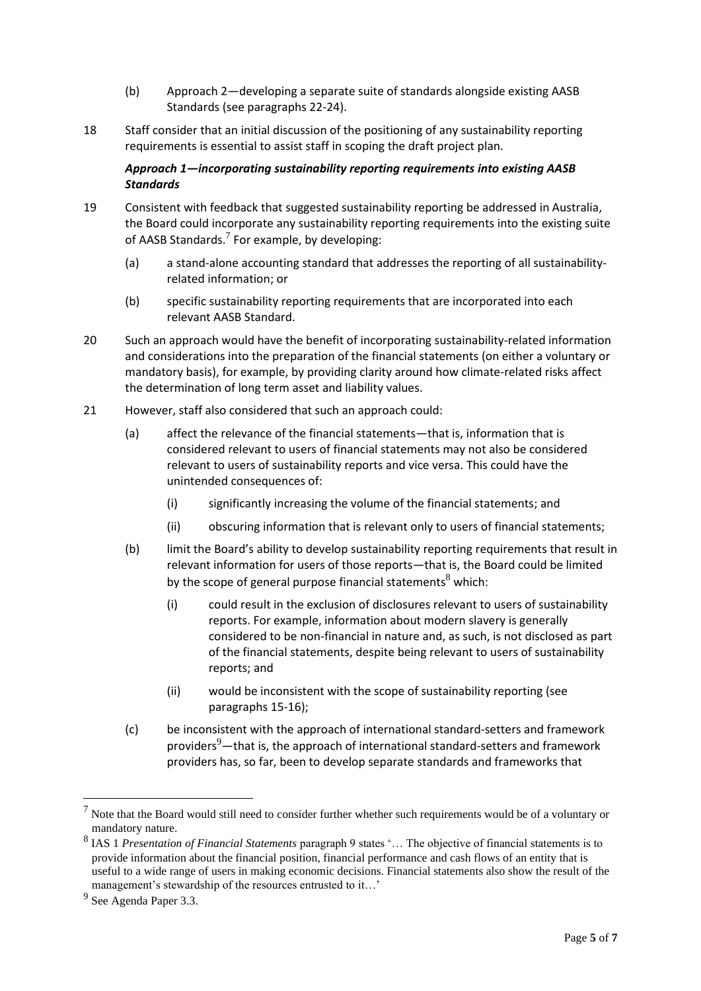- (b) Approach 2—developing a separate suite of standards alongside existing AASB Standards (see paragraphs 22-24).
- 18 Staff consider that an initial discussion of the positioning of any sustainability reporting requirements is essential to assist staff in scoping the draft project plan.

# *Approach 1—incorporating sustainability reporting requirements into existing AASB Standards*

- 19 Consistent with feedback that suggested sustainability reporting be addressed in Australia, the Board could incorporate any sustainability reporting requirements into the existing suite of AASB Standards.<sup>7</sup> For example, by developing:
	- (a) a stand-alone accounting standard that addresses the reporting of all sustainabilityrelated information; or
	- (b) specific sustainability reporting requirements that are incorporated into each relevant AASB Standard.
- 20 Such an approach would have the benefit of incorporating sustainability-related information and considerations into the preparation of the financial statements (on either a voluntary or mandatory basis), for example, by providing clarity around how climate-related risks affect the determination of long term asset and liability values.
- 21 However, staff also considered that such an approach could:
	- (a) affect the relevance of the financial statements—that is, information that is considered relevant to users of financial statements may not also be considered relevant to users of sustainability reports and vice versa. This could have the unintended consequences of:
		- (i) significantly increasing the volume of the financial statements; and
		- (ii) obscuring information that is relevant only to users of financial statements;
	- (b) limit the Board's ability to develop sustainability reporting requirements that result in relevant information for users of those reports—that is, the Board could be limited by the scope of general purpose financial statements<sup>8</sup> which:
		- (i) could result in the exclusion of disclosures relevant to users of sustainability reports. For example, information about modern slavery is generally considered to be non-financial in nature and, as such, is not disclosed as part of the financial statements, despite being relevant to users of sustainability reports; and
		- (ii) would be inconsistent with the scope of sustainability reporting (see paragraphs 15-16);
	- (c) be inconsistent with the approach of international standard-setters and framework providers<sup>9</sup>—that is, the approach of international standard-setters and framework providers has, so far, been to develop separate standards and frameworks that

 $<sup>7</sup>$  Note that the Board would still need to consider further whether such requirements would be of a voluntary or</sup> mandatory nature.

<sup>8</sup> IAS 1 *Presentation of Financial Statements* paragraph 9 states '… The objective of financial statements is to provide information about the financial position, financial performance and cash flows of an entity that is useful to a wide range of users in making economic decisions. Financial statements also show the result of the management's stewardship of the resources entrusted to it...'

<sup>&</sup>lt;sup>9</sup> See Agenda Paper 3.3.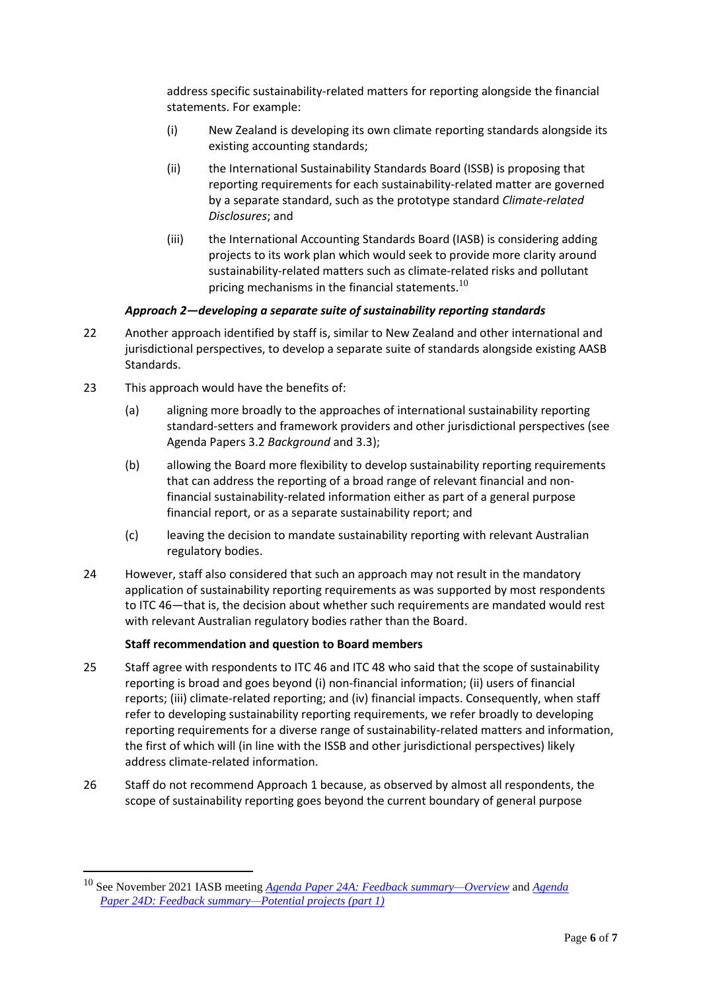address specific sustainability-related matters for reporting alongside the financial statements. For example:

- (i) New Zealand is developing its own climate reporting standards alongside its existing accounting standards;
- (ii) the International Sustainability Standards Board (ISSB) is proposing that reporting requirements for each sustainability-related matter are governed by a separate standard, such as the prototype standard *Climate-related Disclosures*; and
- (iii) the International Accounting Standards Board (IASB) is considering adding projects to its work plan which would seek to provide more clarity around sustainability-related matters such as climate-related risks and pollutant pricing mechanisms in the financial statements. $^{10}$

# *Approach 2—developing a separate suite of sustainability reporting standards*

- 22 Another approach identified by staff is, similar to New Zealand and other international and jurisdictional perspectives, to develop a separate suite of standards alongside existing AASB Standards.
- 23 This approach would have the benefits of:
	- (a) aligning more broadly to the approaches of international sustainability reporting standard-setters and framework providers and other jurisdictional perspectives (see Agenda Papers 3.2 *Background* and 3.3);
	- (b) allowing the Board more flexibility to develop sustainability reporting requirements that can address the reporting of a broad range of relevant financial and nonfinancial sustainability-related information either as part of a general purpose financial report, or as a separate sustainability report; and
	- (c) leaving the decision to mandate sustainability reporting with relevant Australian regulatory bodies.
- 24 However, staff also considered that such an approach may not result in the mandatory application of sustainability reporting requirements as was supported by most respondents to ITC 46—that is, the decision about whether such requirements are mandated would rest with relevant Australian regulatory bodies rather than the Board.

## **Staff recommendation and question to Board members**

- 25 Staff agree with respondents to ITC 46 and ITC 48 who said that the scope of sustainability reporting is broad and goes beyond (i) non-financial information; (ii) users of financial reports; (iii) climate-related reporting; and (iv) financial impacts. Consequently, when staff refer to developing sustainability reporting requirements, we refer broadly to developing reporting requirements for a diverse range of sustainability-related matters and information, the first of which will (in line with the ISSB and other jurisdictional perspectives) likely address climate-related information.
- 26 Staff do not recommend Approach 1 because, as observed by almost all respondents, the scope of sustainability reporting goes beyond the current boundary of general purpose

<sup>10</sup> See November 2021 IASB meeting *[Agenda Paper 24A: Feedback summary—Overview](https://www.ifrs.org/content/dam/ifrs/meetings/2021/november/iasb/ap24a-third-agenda-consultation-feedback-summary-overview.pdf)* and *[Agenda](https://www.ifrs.org/content/dam/ifrs/meetings/2021/november/iasb/ap24d-third-agenda-consultation-feedback-summary-potential-projects-part-1.pdf)  Paper [24D: Feedback summary—Potential projects \(part 1\)](https://www.ifrs.org/content/dam/ifrs/meetings/2021/november/iasb/ap24d-third-agenda-consultation-feedback-summary-potential-projects-part-1.pdf)*